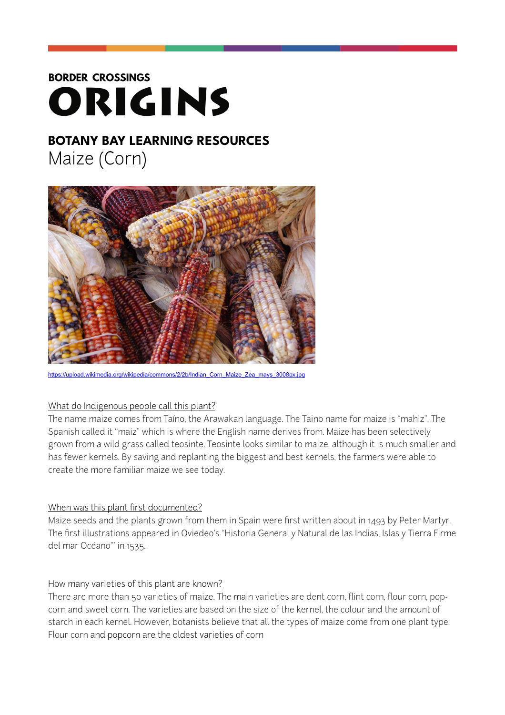# **BORDER CROSSINGS** ORIGINS

# **BOTANY BAY LEARNING RESOURCES**  Maize (Corn)



wikipedia/commons/2/2b/Indian\_Corn\_Maize\_Zea\_mays\_3008px.jpg

#### What do Indigenous people call this plant?

The name maize comes from [Taíno](https://en.wikipedia.org/wiki/Ta%252525C3%252525ADno_language), the [Arawakan](https://en.wikipedia.org/wiki/Arawakan) language. The Taino name for maize is "mahiz". The Spanish called it "maiz" which is where the English name derives from. Maize has been selectively grown from a wild grass called teosinte. Teosinte looks similar to maize, although it is much smaller and has fewer kernels. By saving and replanting the biggest and best kernels, the farmers were able to create the more familiar maize we see today.

#### When was this plant first documented?

Maize seeds and the plants grown from them in Spain were first written about in 1493 by Peter Martyr. The first illustrations appeared in Oviedeo's "Historia General y Natural de las Indias, Islas y Tierra Firme del mar Océano"' in 1535.

#### How many varieties of this plant are known?

There are more than 50 varieties of maize. The main varieties are dent corn, flint corn, flour corn, popcorn and sweet corn. The varieties are based on the size of the kernel, the colour and the amount of starch in each kernel. However, botanists believe that all the types of maize come from one plant type. Flour corn and popcorn are the oldest varieties of corn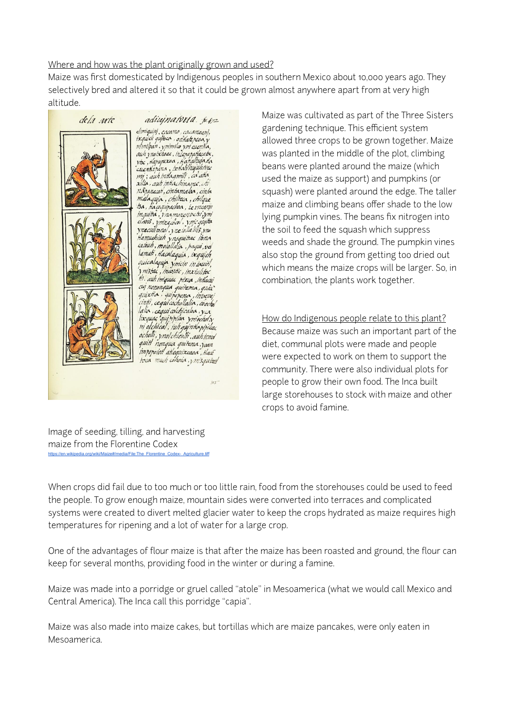## Where and how was the plant originally grown and used?

Maize was first domesticated by Indigenous peoples in southern Mexico about 10,000 years ago. They selectively bred and altered it so that it could be grown almost anywhere apart from at very high altitude.



adiujnatvria. p.p. elimiquini, cacamo, cacamoani, simigum, caedno ; excanionm,<br>ixquidi quipeo , on hate pesa, y<br>nimilpan , ymmila ym cuentia, auh ynoixhoac, iniepapatacator, via , Hapupuxoa , Hanaltuja da<br>cuentarara , tentali hujuhtire mi; auh intla amili, ca atla xilia. auh intachiname. chi nâranecat, cintamalaa, cinta malaquia, chilteca, chilque tza, Hacoguipachoa, ie incarin inquitta, vnamonenvetsi, ym ciavis, vnincedcol, vnic quitta ynecuillonol, yneiollalilis, yno Hamuchiuh ynoquittae ibna<br>caiouh, moiollalia, paqui,vel lamati, Hacalaquia, ixquich quicalaquia vinion in iauit, y nistac, incostic, inxiulitoc Ht. auh imiquac pixca, inthacui cuj nononqua quitama, quia quixtia, quiperena, invevei cinti, cegui cochollalia, coochol lalia, ceguiadchicaloa, y ca lixquaç qui pipilox "ymochol",<br>m' olchical", 'iuh quinto pipilac<br>ocholli, ynol chicalli ,auh innel quitt nonqua quitema, yaan impopoiot atlequircaga, Hace toca much cohoia, y m'squitest

 $U \subset \mathbb{R}$ 

Maize was cultivated as part of the Three Sisters gardening technique. This efficient system allowed three crops to be grown together. Maize was planted in the middle of the plot, climbing beans were planted around the maize (which used the maize as support) and pumpkins (or squash) were planted around the edge. The taller maize and climbing beans offer shade to the low lying pumpkin vines. The beans fix nitrogen into the soil to feed the squash which suppress weeds and shade the ground. The pumpkin vines also stop the ground from getting too dried out which means the maize crops will be larger. So, in combination, the plants work together.

How do Indigenous people relate to this plant? Because maize was such an important part of the diet, communal plots were made and people were expected to work on them to support the community. There were also individual plots for people to grow their own food. The Inca built large storehouses to stock with maize and other crops to avoid famine.

Image of seeding, tilling, and harvesting maize from the Florentine Codex [https://en.wikipedia.org/wiki/Maize#/media/File:The\\_Florentine\\_Codex-\\_Agriculture.tiff](https://en.wikipedia.org/wiki/Maize%252523/media/File:The_Florentine_Codex-_Agriculture.tiff)

When crops did fail due to too much or too little rain, food from the storehouses could be used to feed the people. To grow enough maize, mountain sides were converted into terraces and complicated systems were created to divert melted glacier water to keep the crops hydrated as maize requires high temperatures for ripening and a lot of water for a large crop.

One of the advantages of flour maize is that after the maize has been roasted and ground, the flour can keep for several months, providing food in the winter or during a famine.

Maize was made into a porridge or gruel called "atole" in Mesoamerica (what we would call Mexico and Central America). The Inca call this porridge "capia".

Maize was also made into maize cakes, but tortillas which are maize pancakes, were only eaten in Mesoamerica.